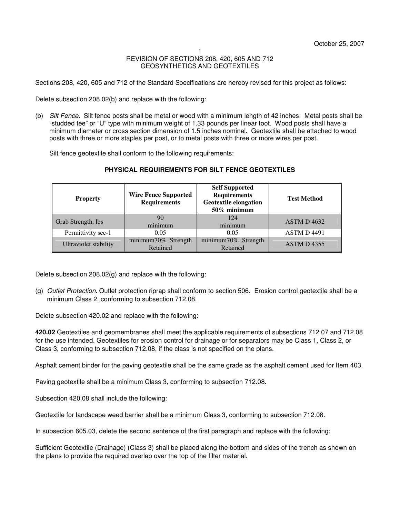Sections 208, 420, 605 and 712 of the Standard Specifications are hereby revised for this project as follows:

Delete subsection 208.02(b) and replace with the following:

(b) Silt Fence. Silt fence posts shall be metal or wood with a minimum length of 42 inches. Metal posts shall be "studded tee" or "U" type with minimum weight of 1.33 pounds per linear foot. Wood posts shall have a minimum diameter or cross section dimension of 1.5 inches nominal. Geotextile shall be attached to wood posts with three or more staples per post, or to metal posts with three or more wires per post.

Silt fence geotextile shall conform to the following requirements:

| <b>Property</b>       | <b>Wire Fence Supported</b><br><b>Requirements</b> | <b>Self Supported</b><br><b>Requirements</b><br><b>Geotextile elongation</b><br>50% minimum | <b>Test Method</b> |
|-----------------------|----------------------------------------------------|---------------------------------------------------------------------------------------------|--------------------|
| Grab Strength, lbs    | 90<br>minimum                                      | 124<br>minimum                                                                              | ASTM D4632         |
| Permittivity sec-1    | 0.05                                               | 0.05                                                                                        | <b>ASTM D 4491</b> |
| Ultraviolet stability | minimum70% Strength<br>Retained                    | minimum70% Strength<br>Retained                                                             | <b>ASTM D4355</b>  |

# **PHYSICAL REQUIREMENTS FOR SILT FENCE GEOTEXTILES**

Delete subsection 208.02(g) and replace with the following:

(g) Outlet Protection. Outlet protection riprap shall conform to section 506. Erosion control geotextile shall be a minimum Class 2, conforming to subsection 712.08.

Delete subsection 420.02 and replace with the following:

**420.02** Geotextiles and geomembranes shall meet the applicable requirements of subsections 712.07 and 712.08 for the use intended. Geotextiles for erosion control for drainage or for separators may be Class 1, Class 2, or Class 3, conforming to subsection 712.08, if the class is not specified on the plans.

Asphalt cement binder for the paving geotextile shall be the same grade as the asphalt cement used for Item 403.

Paving geotextile shall be a minimum Class 3, conforming to subsection 712.08.

Subsection 420.08 shall include the following:

Geotextile for landscape weed barrier shall be a minimum Class 3, conforming to subsection 712.08.

In subsection 605.03, delete the second sentence of the first paragraph and replace with the following:

Sufficient Geotextile (Drainage) (Class 3) shall be placed along the bottom and sides of the trench as shown on the plans to provide the required overlap over the top of the filter material.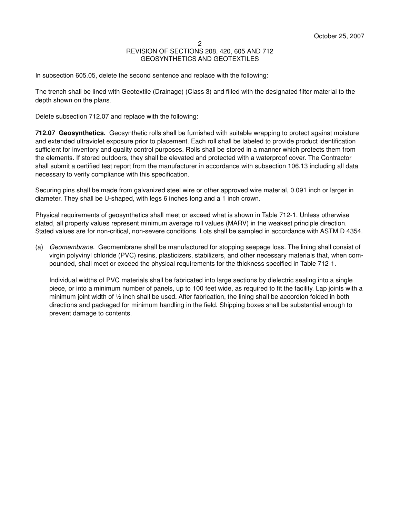In subsection 605.05, delete the second sentence and replace with the following:

The trench shall be lined with Geotextile (Drainage) (Class 3) and filled with the designated filter material to the depth shown on the plans.

Delete subsection 712.07 and replace with the following:

**712.07 Geosynthetics.** Geosynthetic rolls shall be furnished with suitable wrapping to protect against moisture and extended ultraviolet exposure prior to placement. Each roll shall be labeled to provide product identification sufficient for inventory and quality control purposes. Rolls shall be stored in a manner which protects them from the elements. If stored outdoors, they shall be elevated and protected with a waterproof cover. The Contractor shall submit a certified test report from the manufacturer in accordance with subsection 106.13 including all data necessary to verify compliance with this specification.

Securing pins shall be made from galvanized steel wire or other approved wire material, 0.091 inch or larger in diameter. They shall be U-shaped, with legs 6 inches long and a 1 inch crown.

Physical requirements of geosynthetics shall meet or exceed what is shown in Table 712-1. Unless otherwise stated, all property values represent minimum average roll values (MARV) in the weakest principle direction. Stated values are for non-critical, non-severe conditions. Lots shall be sampled in accordance with ASTM D 4354.

(a) Geomembrane. Geomembrane shall be manufactured for stopping seepage loss. The lining shall consist of virgin polyvinyl chloride (PVC) resins, plasticizers, stabilizers, and other necessary materials that, when compounded, shall meet or exceed the physical requirements for the thickness specified in Table 712-1.

Individual widths of PVC materials shall be fabricated into large sections by dielectric sealing into a single piece, or into a minimum number of panels, up to 100 feet wide, as required to fit the facility. Lap joints with a minimum joint width of ½ inch shall be used. After fabrication, the lining shall be accordion folded in both directions and packaged for minimum handling in the field. Shipping boxes shall be substantial enough to prevent damage to contents.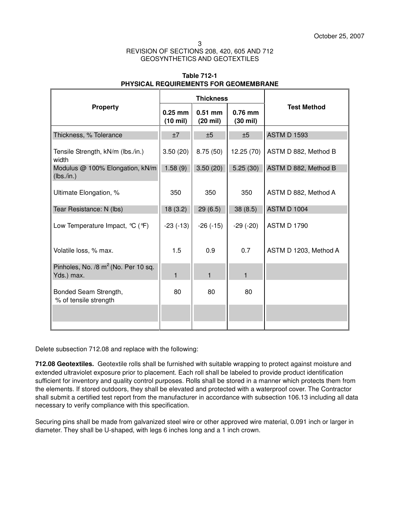|                                                               | <b>Thickness</b>                |                                 |                         |                       |  |
|---------------------------------------------------------------|---------------------------------|---------------------------------|-------------------------|-----------------------|--|
| <b>Property</b>                                               | $0.25$ mm<br>$(10 \text{ mil})$ | $0.51$ mm<br>$(20 \text{ mil})$ | $0.76$ mm<br>$(30$ mil) | <b>Test Method</b>    |  |
| Thickness, % Tolerance                                        | ±7                              | ±5                              | ±5                      | <b>ASTM D 1593</b>    |  |
| Tensile Strength, kN/m (lbs./in.)<br>width                    | 3.50(20)                        | 8.75(50)                        | 12.25(70)               | ASTM D 882, Method B  |  |
| Modulus @ 100% Elongation, kN/m<br>(lbs./in.)                 | 1.58(9)                         | 3.50(20)                        | 5.25(30)                | ASTM D 882, Method B  |  |
| Ultimate Elongation, %                                        | 350                             | 350                             | 350                     | ASTM D 882, Method A  |  |
| Tear Resistance: N (lbs)                                      | 18(3.2)                         | 29(6.5)                         | 38(8.5)                 | <b>ASTM D 1004</b>    |  |
| Low Temperature Impact, °C (°F)                               | $-23(-13)$                      | $-26$ $(-15)$                   | $-29$ $(-20)$           | <b>ASTM D 1790</b>    |  |
| Volatile loss, % max.                                         | 1.5                             | 0.9                             | 0.7                     | ASTM D 1203, Method A |  |
| Pinholes, No. /8 m <sup>2</sup> (No. Per 10 sq.<br>Yds.) max. | $\mathbf{1}$                    | $\mathbf{1}$                    | $\mathbf{1}$            |                       |  |
| Bonded Seam Strength,<br>% of tensile strength                | 80                              | 80                              | 80                      |                       |  |
|                                                               |                                 |                                 |                         |                       |  |
|                                                               |                                 |                                 |                         |                       |  |

# **Table 712-1 PHYSICAL REQUIREMENTS FOR GEOMEMBRANE**

Delete subsection 712.08 and replace with the following:

**712.08 Geotextiles.** Geotextile rolls shall be furnished with suitable wrapping to protect against moisture and extended ultraviolet exposure prior to placement. Each roll shall be labeled to provide product identification sufficient for inventory and quality control purposes. Rolls shall be stored in a manner which protects them from the elements. If stored outdoors, they shall be elevated and protected with a waterproof cover. The Contractor shall submit a certified test report from the manufacturer in accordance with subsection 106.13 including all data necessary to verify compliance with this specification.

Securing pins shall be made from galvanized steel wire or other approved wire material, 0.091 inch or larger in diameter. They shall be U-shaped, with legs 6 inches long and a 1 inch crown.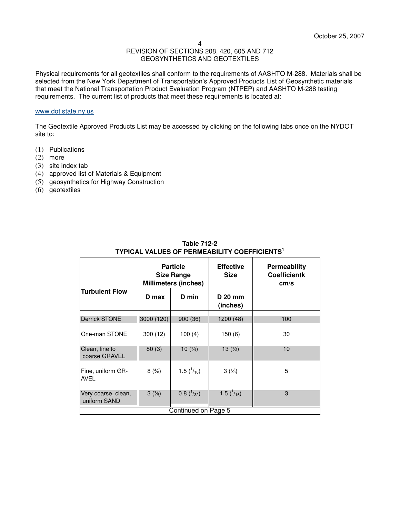Physical requirements for all geotextiles shall conform to the requirements of AASHTO M-288. Materials shall be selected from the New York Department of Transportation's Approved Products List of Geosynthetic materials that meet the National Transportation Product Evaluation Program (NTPEP) and AASHTO M-288 testing requirements. The current list of products that meet these requirements is located at:

### www.dot.state.ny.us

The Geotextile Approved Products List may be accessed by clicking on the following tabs once on the NYDOT site to:

- (1) Publications
- (2) more
- (3) site index tab
- (4) approved list of Materials & Equipment
- (5) geosynthetics for Highway Construction
- (6) geotextiles

| <b>Particle</b><br><b>Size Range</b><br><b>Millimeters (inches)</b> |                    | <b>Effective</b><br><b>Size</b> | <b>Permeability</b><br><b>Coefficientk</b><br>cm/s |
|---------------------------------------------------------------------|--------------------|---------------------------------|----------------------------------------------------|
| D max                                                               | D min              | D 20 mm<br>(inches)             |                                                    |
| 3000 (120)                                                          | 900(36)            | 1200 (48)                       | 100                                                |
| 300(12)                                                             | 100(4)             | 150(6)                          | 30                                                 |
| 80(3)                                                               | 10 $(1/4)$         | 13 $(\frac{1}{2})$              | 10                                                 |
| 8(3/8)                                                              | 1.5 $(^{1}/_{16})$ | $3\frac{1}{8}$                  | 5                                                  |
| $3\frac{1}{8}$                                                      | $0.8(^{1}_{32})$   | 1.5 $(^{1}/_{16})$              | 3                                                  |
|                                                                     |                    |                                 | Continued on Page 5                                |

## **Table 712-2 TYPICAL VALUES OF PERMEABILITY COEFFICIENTS<sup>1</sup>**